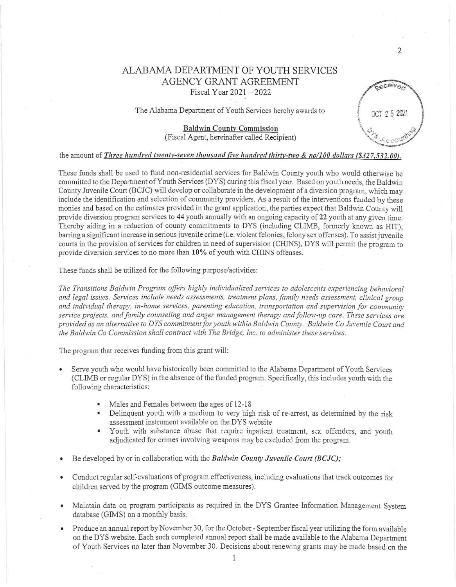## ALABAMA DEPARTMENT OF YOUTH SERVICES AGENCY GRANT AGREEMENT Fiscal Year 2021 - 2022

The Alabama Department of Youth Services hereby awards to

## Baldwin Countv Commission (Fiscal Agent, hereinafter called Recipient)

## the amount of *Three hundred twenty-seven thousand five hundred thirtv-two* & *no/100 dollars (\$327.532.00).*

These funds shall be used to fund non-residential services for Baldwin County youth who would otherwise be committed to the Department of Youth Services (DYS) during this fiscal year. Based on youth needs, the Baldwin County Juvenile Court (BCJC) will develop or calla borate in the development of a diversion program, which may inciude the identification and selection of community providers. As a result of the interventions funded by these monies and based on the estimates provided in the grant application, the parties expect that Baldwin County will provide diversion program services to 44 youth annually with an ongoing capacity of 22 youth at any given time. Thereby aiding in a reduction of county commitments to DYS (including CLIMB, formerly known as HIT), barring a significant increase in serious juvenile crime (i.e. violent felonies, felony sex offenses). To assist juvenile courts in the provision of services for children in need of supervision (CHINS), DYS will permit the program to provide diversion services to no more than 10% of youth with CHINS offenses.

These funds shall be utilized for the following purpose/activities:

The Transitions Baldwin Program offers highly individualized services to adolescents experiencing behavioral and legal issues. Services include needs assessments, treatment plans, family needs assessment, clinical group and individual therapy, in-home services, parenting education, transportation and supervision for community *service projects, and family counseling and anger management therapy and follow-up care, These services are provided as an alternative to DYS commitment for youth within Baldwin County. Baldwin Co Juvenile Court and the Baldwin Co Commission shall contract with* The *Bridge, Inc. to administer these services.* 

The program that receives funding from this grant will:

- Serve youth who would have historically been committed to the Alabama Department of Youth Services (CLINIB or regular DYS) in the absence of the funded program. Specifically, this includes youth with the following characteristics:
	- Males and Females between the ages of 12-18
	- Delinquent youth with a medium to very high risk of re-arrest, as determined by the risk assessment instrument available on the DYS website
	- Youth with substance abuse that require inpatient treatment, sex offenders, and youth adjudicated for crimes involving weapons may be excluded from the program.
- Be developed by or in collaboration with the *Baldwin County Juvenile Court (BCJC);*
- Conduct regular self-evaluations of program effectiveness, including evaluations that track outcomes for children served by the program (GIMS outcome measures).
- Maintain data on program participants as required in the DYS Grantee Information Management System database (GIMS) on a monthly basis.
- Produce an annual report by November 30, for the October September fiscal year utilizing the form available on the DYS website. Each such completed annual report shall be made available to the Alabama Department of Youth Services no later than November 30. Decisions about renewing grants may be made based on the